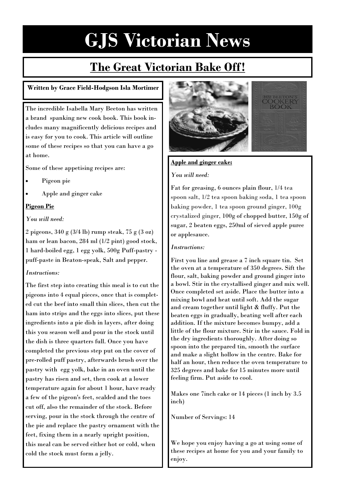## **The Great Victorian Bake Off!**

### **Written by Grace Field-Hodgson Isla Mortimer**

The incredible Isabella Mary Beeton has written a brand spanking new cook book. This book includes many magnificently delicious recipes and is easy for you to cook. This article will outline some of these recipes so that you can have a go at home.

Some of these appetising recipes are:

- Pigeon pie
- Apple and ginger cake

### **Pigeon Pie**

*You will need:*

2 pigeons, 340 g (3/4 lb) rump steak, 75 g (3 oz) ham or lean bacon, 284 ml (1/2 pint) good stock, 1 hard-boiled egg, 1 egg yolk, 500g Puff-pastry puff-paste in Beaton-speak, Salt and pepper.

### *Instructions:*

The first step into creating this meal is to cut the pigeons into 4 equal pieces, once that is completed cut the beef into small thin slices, then cut the ham into strips and the eggs into slices, put these ingredients into a pie dish in layers, after doing this you season well and pour in the stock until the dish is three quarters full. Once you have completed the previous step put on the cover of pre-rolled puff pastry, afterwards brush over the pastry with egg yolk, bake in an oven until the pastry has risen and set, then cook at a lower temperature again for about 1 hour, have ready a few of the pigeon's feet, scalded and the toes cut off, also the remainder of the stock. Before serving, pour in the stock through the centre of the pie and replace the pastry ornament with the feet, fixing them in a nearly upright position, this meal can be served either hot or cold, when cold the stock must form a jelly.



### **Apple and ginger cake:**

#### *You will need:*

Fat for greasing, 6 ounces plain flour, 1/4 tea spoon salt, 1/2 tea spoon baking soda, 1 tea spoon baking powder, 1 tea spoon ground ginger, 100g crystalized ginger, 100g of chopped butter, 150g of sugar, 2 beaten eggs, 250ml of sieved apple puree or applesauce.

### *Instructions:*

First you line and grease a 7 inch square tin. Set the oven at a temperature of 350 degrees. Sift the flour, salt, baking powder and ground ginger into a bowl. Stir in the crystallised ginger and mix well. Once completed set aside. Place the butter into a mixing bowl and heat until soft. Add the sugar and cream together until light & fluffy. Put the beaten eggs in gradually, beating well after each addition. If the mixture becomes bumpy, add a little of the flour mixture. Stir in the sauce. Fold in the dry ingredients thoroughly. After doing so spoon into the prepared tin, smooth the surface and make a slight hollow in the centre. Bake for half an hour, then reduce the oven temperature to 325 degrees and bake for 15 minutes more until feeling firm. Put aside to cool.

Makes one 7inch cake or 14 pieces (1 inch by 3.5 inch)

Number of Servings: 14

We hope you enjoy having a go at using some of these recipes at home for you and your family to enjoy.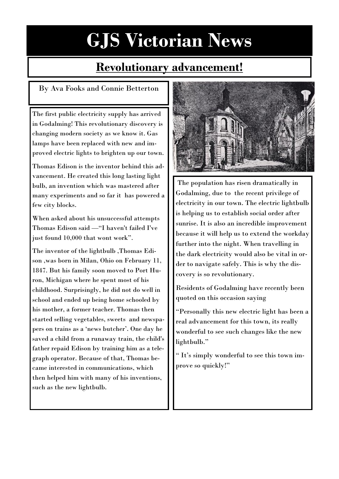## **Revolutionary advancement!**

### By Ava Fooks and Connie Betterton

The first public electricity supply has arrived in Godalming! This revolutionary discovery is changing modern society as we know it. Gas lamps have been replaced with new and improved electric lights to brighten up our town.

Thomas Edison is the inventor behind this advancement. He created this long lasting light bulb, an invention which was mastered after many experiments and so far it has powered a few city blocks.

When asked about his unsuccessful attempts Thomas Edison said —"I haven't failed I've just found 10,000 that wont work".

The inventor of the lightbulb ,Thomas Edison ,was born in Milan, Ohio on February 11, 1847. But his family soon moved to Port Huron, Michigan where he spent most of his childhood. Surprisingly, he did not do well in school and ended up being home schooled by his mother, a former teacher. Thomas then started selling vegetables, sweets and newspapers on trains as a 'news butcher'. One day he saved a child from a runaway train, the child's father repaid Edison by training him as a telegraph operator. Because of that, Thomas became interested in communications, which then helped him with many of his inventions, such as the new lightbulb.



The population has risen dramatically in Godalming, due to the recent privilege of electricity in our town. The electric lightbulb is helping us to establish social order after sunrise. It is also an incredible improvement because it will help us to extend the workday further into the night. When travelling in the dark electricity would also be vital in order to navigate safely. This is why the discovery is so revolutionary.

Residents of Godalming have recently been quoted on this occasion saying

"Personally this new electric light has been a real advancement for this town, its really wonderful to see such changes like the new lightbulb."

" It's simply wonderful to see this town improve so quickly!"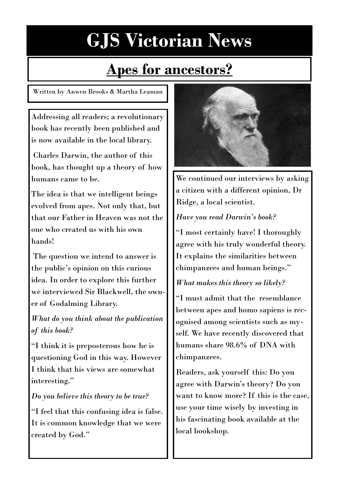## **Apes for ancestors?**

Written by Anwen Brooks & Martha Leaman

Addressing all readers; a revolutionary book has recently been published and is now available in the local library.

Charles Darwin, the author of this book, has thought up a theory of how humans came to be.

The idea is that we intelligent beings evolved from apes. Not only that, but that our Father in Heaven was not the one who created us with his own hands!

The question we intend to answer is the public's opinion on this curious idea. In order to explore this further we interviewed Sir Blackwell, the owner of Godalming Library.

*What do you think about the publication of this book?* 

"I think it is preposterous how he is questioning God in this way. However I think that his views are somewhat interesting."

### *Do you believe this theory to be true?*

"I feel that this confusing idea is false. It is common knowledge that we were created by God."



We continued our interviews by asking a citizen with a different opinion, Dr Ridge, a local scientist.

### *Have you read Darwin's book?*

"I most certainly have! I thoroughly agree with his truly wonderful theory. It explains the similarities between chimpanzees and human beings."

### *What makes this theory so likely?*

"I must admit that the resemblance between apes and homo sapiens is recognised among scientists such as myself. We have recently discovered that humans share 98.6% of DNA with chimpanzees.

Readers, ask yourself this: Do you agree with Darwin's theory? Do you want to know more? If this is the case, use your time wisely by investing in his fascinating book available at the local bookshop.